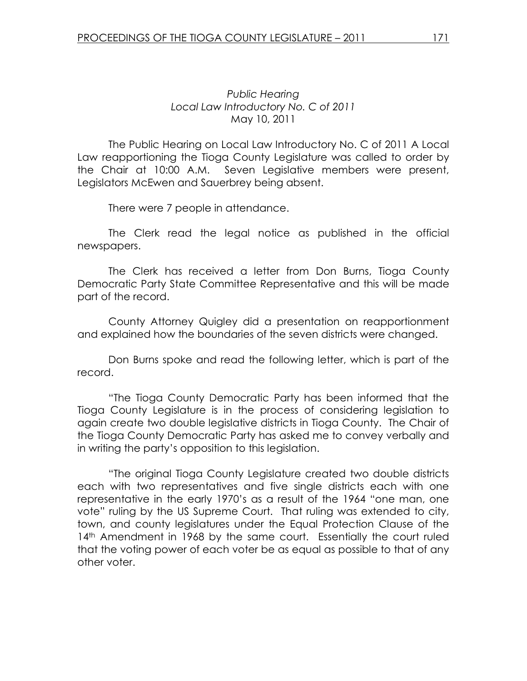## Public Hearing Local Law Introductory No. C of 2011 May 10, 2011

 The Public Hearing on Local Law Introductory No. C of 2011 A Local Law reapportioning the Tioga County Legislature was called to order by the Chair at 10:00 A.M. Seven Legislative members were present, Legislators McEwen and Sauerbrey being absent.

There were 7 people in attendance.

 The Clerk read the legal notice as published in the official newspapers.

 The Clerk has received a letter from Don Burns, Tioga County Democratic Party State Committee Representative and this will be made part of the record.

 County Attorney Quigley did a presentation on reapportionment and explained how the boundaries of the seven districts were changed.

 Don Burns spoke and read the following letter, which is part of the record.

 "The Tioga County Democratic Party has been informed that the Tioga County Legislature is in the process of considering legislation to again create two double legislative districts in Tioga County. The Chair of the Tioga County Democratic Party has asked me to convey verbally and in writing the party's opposition to this legislation.

 "The original Tioga County Legislature created two double districts each with two representatives and five single districts each with one representative in the early 1970's as a result of the 1964 "one man, one vote" ruling by the US Supreme Court. That ruling was extended to city, town, and county legislatures under the Equal Protection Clause of the 14<sup>th</sup> Amendment in 1968 by the same court. Essentially the court ruled that the voting power of each voter be as equal as possible to that of any other voter.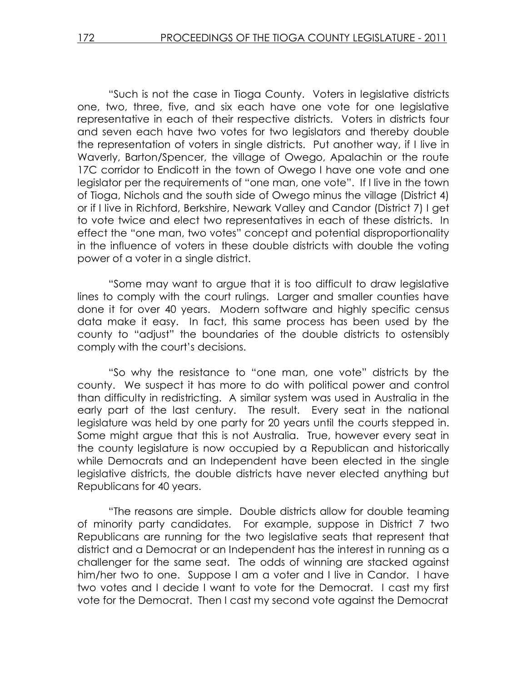"Such is not the case in Tioga County. Voters in legislative districts one, two, three, five, and six each have one vote for one legislative representative in each of their respective districts. Voters in districts four and seven each have two votes for two legislators and thereby double the representation of voters in single districts. Put another way, if I live in Waverly, Barton/Spencer, the village of Owego, Apalachin or the route 17C corridor to Endicott in the town of Owego I have one vote and one legislator per the requirements of "one man, one vote". If I live in the town of Tioga, Nichols and the south side of Owego minus the village (District 4) or if I live in Richford, Berkshire, Newark Valley and Candor (District 7) I get to vote twice and elect two representatives in each of these districts. In effect the "one man, two votes" concept and potential disproportionality in the influence of voters in these double districts with double the voting power of a voter in a single district.

 "Some may want to argue that it is too difficult to draw legislative lines to comply with the court rulings. Larger and smaller counties have done it for over 40 years. Modern software and highly specific census data make it easy. In fact, this same process has been used by the county to "adjust" the boundaries of the double districts to ostensibly comply with the court's decisions.

 "So why the resistance to "one man, one vote" districts by the county. We suspect it has more to do with political power and control than difficulty in redistricting. A similar system was used in Australia in the early part of the last century. The result. Every seat in the national legislature was held by one party for 20 years until the courts stepped in. Some might argue that this is not Australia. True, however every seat in the county legislature is now occupied by a Republican and historically while Democrats and an Independent have been elected in the single legislative districts, the double districts have never elected anything but Republicans for 40 years.

 "The reasons are simple. Double districts allow for double teaming of minority party candidates. For example, suppose in District 7 two Republicans are running for the two legislative seats that represent that district and a Democrat or an Independent has the interest in running as a challenger for the same seat. The odds of winning are stacked against him/her two to one. Suppose I am a voter and I live in Candor. I have two votes and I decide I want to vote for the Democrat. I cast my first vote for the Democrat. Then I cast my second vote against the Democrat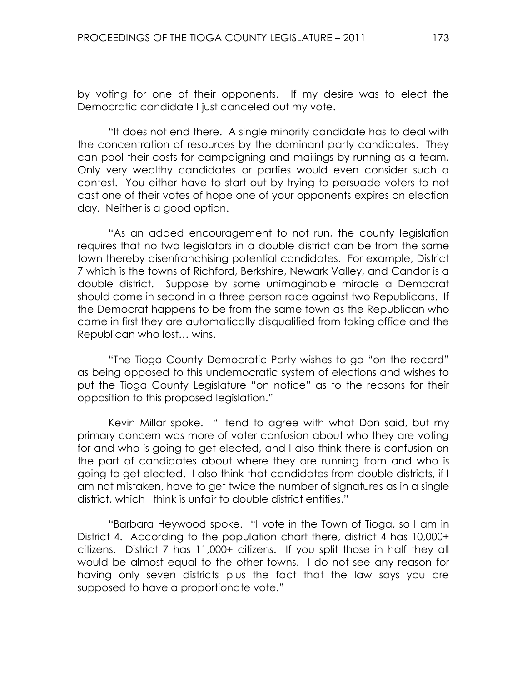by voting for one of their opponents. If my desire was to elect the Democratic candidate I just canceled out my vote.

 "It does not end there. A single minority candidate has to deal with the concentration of resources by the dominant party candidates. They can pool their costs for campaigning and mailings by running as a team. Only very wealthy candidates or parties would even consider such a contest. You either have to start out by trying to persuade voters to not cast one of their votes of hope one of your opponents expires on election day. Neither is a good option.

 "As an added encouragement to not run, the county legislation requires that no two legislators in a double district can be from the same town thereby disenfranchising potential candidates. For example, District 7 which is the towns of Richford, Berkshire, Newark Valley, and Candor is a double district. Suppose by some unimaginable miracle a Democrat should come in second in a three person race against two Republicans. If the Democrat happens to be from the same town as the Republican who came in first they are automatically disqualified from taking office and the Republican who lost… wins.

 "The Tioga County Democratic Party wishes to go "on the record" as being opposed to this undemocratic system of elections and wishes to put the Tioga County Legislature "on notice" as to the reasons for their opposition to this proposed legislation."

 Kevin Millar spoke. "I tend to agree with what Don said, but my primary concern was more of voter confusion about who they are voting for and who is going to get elected, and I also think there is confusion on the part of candidates about where they are running from and who is going to get elected. I also think that candidates from double districts, if I am not mistaken, have to get twice the number of signatures as in a single district, which I think is unfair to double district entities."

 "Barbara Heywood spoke. "I vote in the Town of Tioga, so I am in District 4. According to the population chart there, district 4 has 10,000+ citizens. District 7 has 11,000+ citizens. If you split those in half they all would be almost equal to the other towns. I do not see any reason for having only seven districts plus the fact that the law says you are supposed to have a proportionate vote."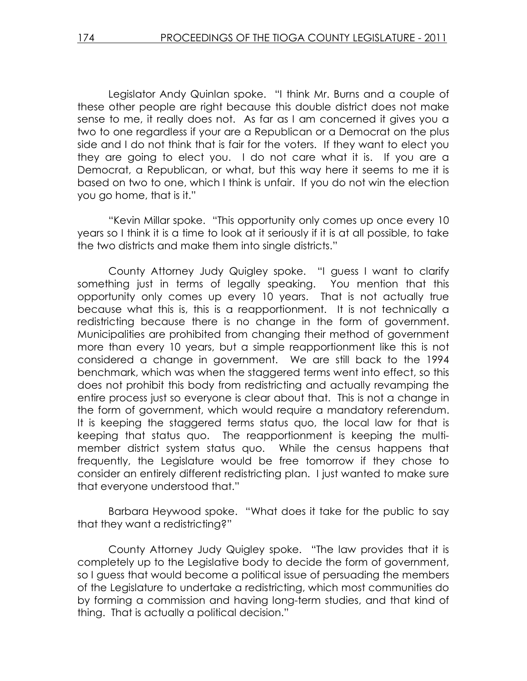Legislator Andy Quinlan spoke. "I think Mr. Burns and a couple of these other people are right because this double district does not make sense to me, it really does not. As far as I am concerned it gives you a two to one regardless if your are a Republican or a Democrat on the plus side and I do not think that is fair for the voters. If they want to elect you they are going to elect you. I do not care what it is. If you are a Democrat, a Republican, or what, but this way here it seems to me it is based on two to one, which I think is unfair. If you do not win the election you go home, that is it."

 "Kevin Millar spoke. "This opportunity only comes up once every 10 years so I think it is a time to look at it seriously if it is at all possible, to take the two districts and make them into single districts."

 County Attorney Judy Quigley spoke. "I guess I want to clarify something just in terms of legally speaking. You mention that this opportunity only comes up every 10 years. That is not actually true because what this is, this is a reapportionment. It is not technically a redistricting because there is no change in the form of government. Municipalities are prohibited from changing their method of government more than every 10 years, but a simple reapportionment like this is not considered a change in government. We are still back to the 1994 benchmark, which was when the staggered terms went into effect, so this does not prohibit this body from redistricting and actually revamping the entire process just so everyone is clear about that. This is not a change in the form of government, which would require a mandatory referendum. It is keeping the staggered terms status quo, the local law for that is keeping that status quo. The reapportionment is keeping the multimember district system status quo. While the census happens that frequently, the Legislature would be free tomorrow if they chose to consider an entirely different redistricting plan. I just wanted to make sure that everyone understood that."

 Barbara Heywood spoke. "What does it take for the public to say that they want a redistricting?"

 County Attorney Judy Quigley spoke. "The law provides that it is completely up to the Legislative body to decide the form of government, so I guess that would become a political issue of persuading the members of the Legislature to undertake a redistricting, which most communities do by forming a commission and having long-term studies, and that kind of thing. That is actually a political decision."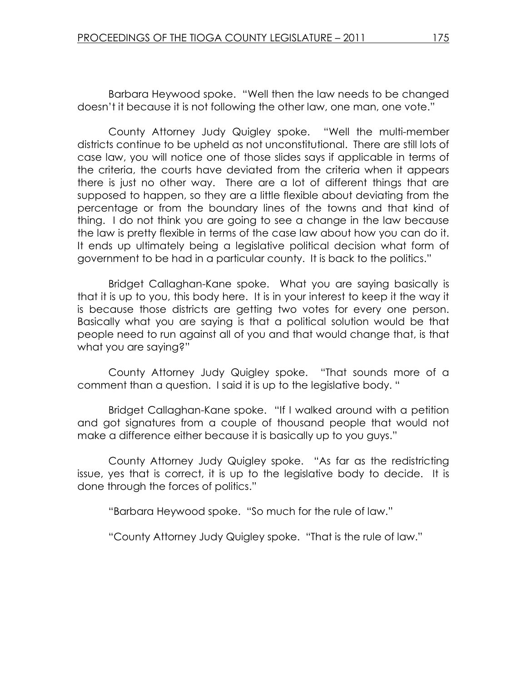Barbara Heywood spoke. "Well then the law needs to be changed doesn't it because it is not following the other law, one man, one vote."

 County Attorney Judy Quigley spoke. "Well the multi-member districts continue to be upheld as not unconstitutional. There are still lots of case law, you will notice one of those slides says if applicable in terms of the criteria, the courts have deviated from the criteria when it appears there is just no other way. There are a lot of different things that are supposed to happen, so they are a little flexible about deviating from the percentage or from the boundary lines of the towns and that kind of thing. I do not think you are going to see a change in the law because the law is pretty flexible in terms of the case law about how you can do it. It ends up ultimately being a legislative political decision what form of government to be had in a particular county. It is back to the politics."

 Bridget Callaghan-Kane spoke. What you are saying basically is that it is up to you, this body here. It is in your interest to keep it the way it is because those districts are getting two votes for every one person. Basically what you are saying is that a political solution would be that people need to run against all of you and that would change that, is that what you are saying?"

 County Attorney Judy Quigley spoke. "That sounds more of a comment than a question. I said it is up to the legislative body. "

 Bridget Callaghan-Kane spoke. "If I walked around with a petition and got signatures from a couple of thousand people that would not make a difference either because it is basically up to you guys."

 County Attorney Judy Quigley spoke. "As far as the redistricting issue, yes that is correct, it is up to the legislative body to decide. It is done through the forces of politics."

"Barbara Heywood spoke. "So much for the rule of law."

"County Attorney Judy Quigley spoke. "That is the rule of law."